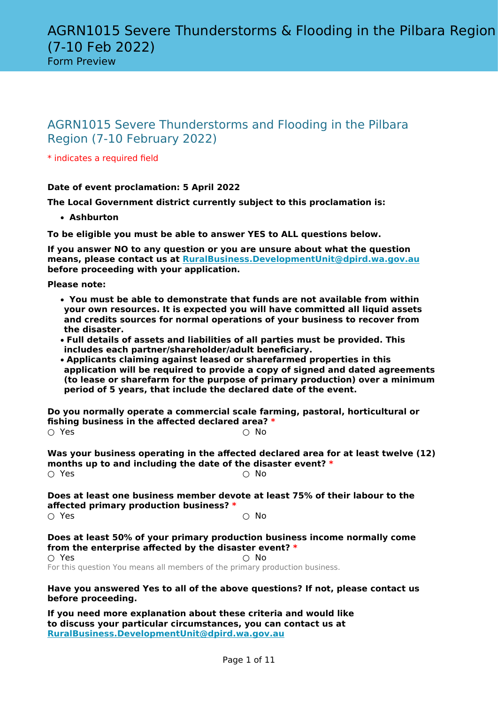\* indicates a required field

# **Date of event proclamation: 5 April 2022**

**The Local Government district currently subject to this proclamation is:**

• **Ashburton**

**To be eligible you must be able to answer YES to ALL questions below.**

**If you answer NO to any question or you are unsure about what the question means, please contact us at [RuralBusiness.DevelopmentUnit@dpird.wa.gov.au](mailto:grants@dpird.wa.gov.au) before proceeding with your application.**

**Please note:**

- • **You must be able to demonstrate that funds are not available from within your own resources. It is expected you will have committed all liquid assets and credits sources for normal operations of your business to recover from the disaster.**
- **Full details of assets and liabilities of all parties must be provided. This includes each partner/shareholder/adult beneficiary.**
- **Applicants claiming against leased or sharefarmed properties in this application will be required to provide a copy of signed and dated agreements (to lease or sharefarm for the purpose of primary production) over a minimum period of 5 years, that include the declared date of the event.**

**Do you normally operate a commercial scale farming, pastoral, horticultural or fishing business in the affected declared area? \***

| $\circ$ Yes |  | $\circ$ No |
|-------------|--|------------|
|             |  |            |

**Was your business operating in the affected declared area for at least twelve (12) months up to and including the date of the disaster event?**  $*$  $\bigcirc$  Yes  $\bigcirc$  No

**Does at least one business member devote at least 75% of their labour to the affected primary production business? \***  $\cap$  Yes  $\cap$  No

**Does at least 50% of your primary production business income normally come from the enterprise affected by the disaster event? \***

 $\circlearrowright$  Yes  $\circlearrowright$  No. For this question You means all members of the primary production business.

#### **Have you answered Yes to all of the above questions? If not, please contact us before proceeding.**

**If you need more explanation about these criteria and would like to discuss your particular circumstances, you can contact us at [RuralBusiness.DevelopmentUnit@dpird.wa.gov.au](mailto:grants@dpird.wa.gov.au)**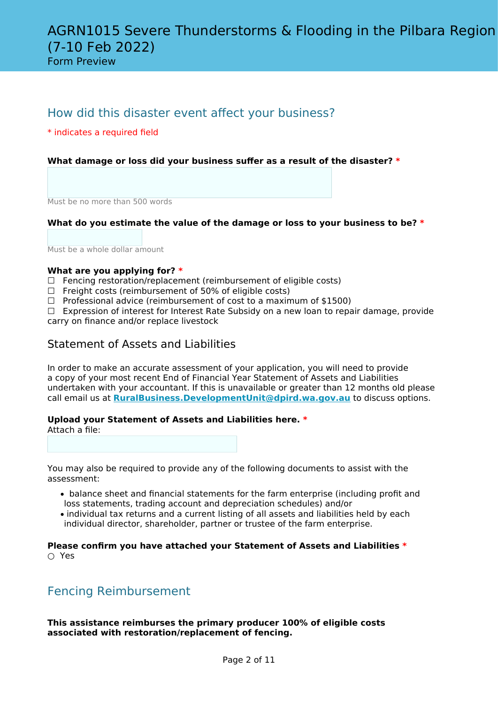Form Preview

# How did this disaster event affect your business?

\* indicates a required field

# **What damage or loss did your business suffer as a result of the disaster? \***

Must be no more than 500 words

# **What do you estimate the value of the damage or loss to your business to be? \***

Must be a whole dollar amount

## **What are you applying for? \***

- $\Box$  Fencing restoration/replacement (reimbursement of eligible costs)
- $\Box$  Freight costs (reimbursement of 50% of eligible costs)
- $\Box$  Professional advice (reimbursement of cost to a maximum of \$1500)

☐ Expression of interest for Interest Rate Subsidy on a new loan to repair damage, provide carry on finance and/or replace livestock

# Statement of Assets and Liabilities

In order to make an accurate assessment of your application, you will need to provide a copy of your most recent End of Financial Year Statement of Assets and Liabilities undertaken with your accountant. If this is unavailable or greater than 12 months old please call email us at **[RuralBusiness.DevelopmentUnit@dpird.wa.gov.au](mailto:grants@dpird.wa.gov.au)** to discuss options.

## **Upload your Statement of Assets and Liabilities here. \***

Attach a file:

You may also be required to provide any of the following documents to assist with the assessment:

- balance sheet and financial statements for the farm enterprise (including profit and loss statements, trading account and depreciation schedules) and/or
- individual tax returns and a current listing of all assets and liabilities held by each individual director, shareholder, partner or trustee of the farm enterprise.

**Please confirm you have attached your Statement of Assets and Liabilities \*** ○ Yes

# Fencing Reimbursement

**This assistance reimburses the primary producer 100% of eligible costs associated with restoration/replacement of fencing.**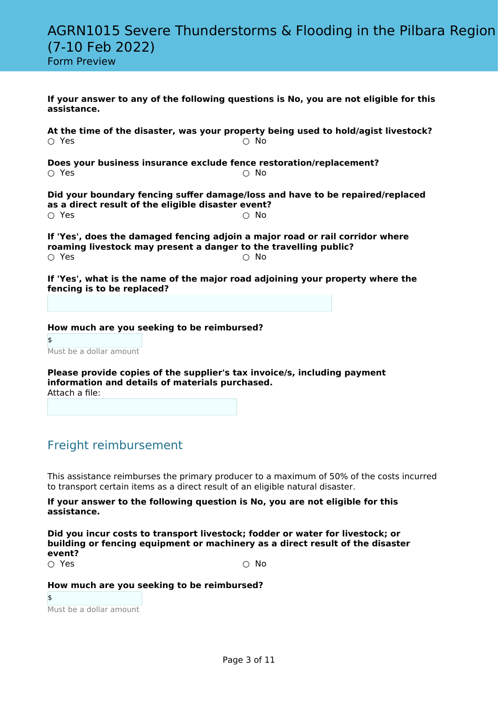|  |  |  |  |  | <b>Form Preview</b> |  |  |  |
|--|--|--|--|--|---------------------|--|--|--|
|--|--|--|--|--|---------------------|--|--|--|

| assistance.                                                                        | If your answer to any of the following questions is No, you are not eligible for this            |
|------------------------------------------------------------------------------------|--------------------------------------------------------------------------------------------------|
| $\circ$ Yes                                                                        | At the time of the disaster, was your property being used to hold/agist livestock?<br>$\circ$ No |
| Does your business insurance exclude fence restoration/replacement?<br>$\circ$ Yes | $\circ$ No                                                                                       |
| as a direct result of the eligible disaster event?<br>$\circ$ Yes                  | Did your boundary fencing suffer damage/loss and have to be repaired/replaced<br>∩ No            |
| roaming livestock may present a danger to the travelling public?<br>∩ Yes          | If 'Yes', does the damaged fencing adjoin a major road or rail corridor where<br>$\cap$ No       |
| fencing is to be replaced?                                                         | If 'Yes', what is the name of the major road adjoining your property where the                   |

**How much are you seeking to be reimbursed?**

\$ Must be a dollar amount

**Please provide copies of the supplier's tax invoice/s, including payment information and details of materials purchased.** Attach a file:

# Freight reimbursement

This assistance reimburses the primary producer to a maximum of 50% of the costs incurred to transport certain items as a direct result of an eligible natural disaster.

## **If your answer to the following question is No, you are not eligible for this assistance.**

**Did you incur costs to transport livestock; fodder or water for livestock; or building or fencing equipment or machinery as a direct result of the disaster event?** ○ Yes ○ No

# **How much are you seeking to be reimbursed?**

\$ Must be a dollar amount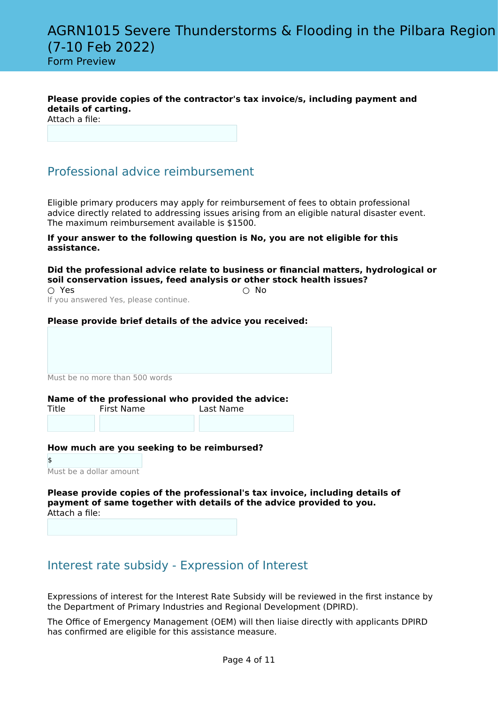**Please provide copies of the contractor's tax invoice/s, including payment and details of carting.**

Attach a file:

# Professional advice reimbursement

Eligible primary producers may apply for reimbursement of fees to obtain professional advice directly related to addressing issues arising from an eligible natural disaster event. The maximum reimbursement available is \$1500.

#### **If your answer to the following question is No, you are not eligible for this assistance.**

**Did the professional advice relate to business or financial matters, hydrological or soil conservation issues, feed analysis or other stock health issues?**

 $\bigcirc$  Yes  $\bigcirc$  No If you answered Yes, please continue.

# **Please provide brief details of the advice you received:**

Must be no more than 500 words

## **Name of the professional who provided the advice:**

| First Name | Last Name |
|------------|-----------|
|            |           |
|            |           |

## **How much are you seeking to be reimbursed?**

\$ Must be a dollar amount

**Please provide copies of the professional's tax invoice, including details of payment of same together with details of the advice provided to you.** Attach a file:

# Interest rate subsidy - Expression of Interest

Expressions of interest for the Interest Rate Subsidy will be reviewed in the first instance by the Department of Primary Industries and Regional Development (DPIRD).

The Office of Emergency Management (OEM) will then liaise directly with applicants DPIRD has confirmed are eligible for this assistance measure.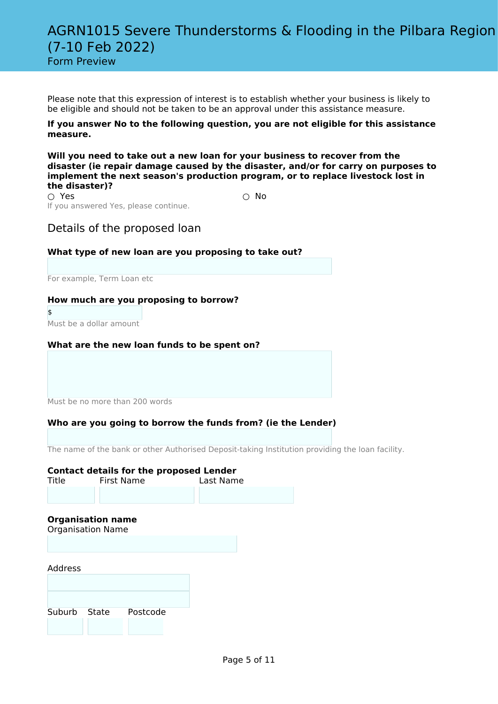Please note that this expression of interest is to establish whether your business is likely to be eligible and should not be taken to be an approval under this assistance measure.

## **If you answer No to the following question, you are not eligible for this assistance measure.**

**Will you need to take out a new loan for your business to recover from the disaster (ie repair damage caused by the disaster, and/or for carry on purposes to implement the next season's production program, or to replace livestock lost in the disaster)?**

 $\bigcirc$  Yes  $\bigcirc$  No If you answered Yes, please continue.

# Details of the proposed loan

# **What type of new loan are you proposing to take out?**

For example, Term Loan etc

## **How much are you proposing to borrow?**

\$ Must be a dollar amount

# **What are the new loan funds to be spent on?**

Must be no more than 200 words

# **Who are you going to borrow the funds from? (ie the Lender)**

The name of the bank or other Authorised Deposit-taking Institution providing the loan facility.

## **Contact details for the proposed Lender**

| Title        |                                                      | First Name | Last Name |  |
|--------------|------------------------------------------------------|------------|-----------|--|
|              |                                                      |            |           |  |
|              | <b>Organisation name</b><br><b>Organisation Name</b> |            |           |  |
|              |                                                      |            |           |  |
| Address      |                                                      |            |           |  |
|              |                                                      |            |           |  |
|              |                                                      |            |           |  |
| Suburb State |                                                      | Postcode   |           |  |
|              |                                                      |            |           |  |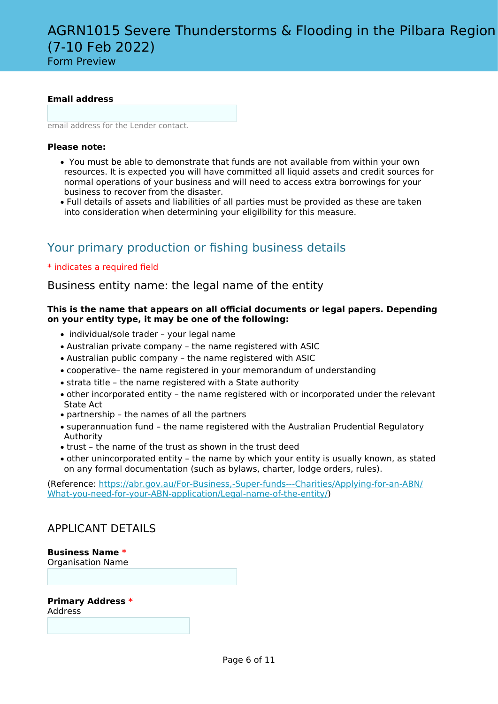Form Preview

# **Email address**

email address for the Lender contact.

# **Please note:**

- You must be able to demonstrate that funds are not available from within your own resources. It is expected you will have committed all liquid assets and credit sources for normal operations of your business and will need to access extra borrowings for your business to recover from the disaster.
- Full details of assets and liabilities of all parties must be provided as these are taken into consideration when determining your eligilbility for this measure.

# Your primary production or fishing business details

# \* indicates a required field

Business entity name: the legal name of the entity

# **This is the name that appears on all official documents or legal papers. Depending on your entity type, it may be one of the following:**

- individual/sole trader your legal name
- Australian private company the name registered with ASIC
- Australian public company the name registered with ASIC
- cooperative– the name registered in your memorandum of understanding
- strata title the name registered with a State authority
- other incorporated entity the name registered with or incorporated under the relevant State Act
- partnership the names of all the partners
- superannuation fund the name registered with the Australian Prudential Regulatory Authority
- trust the name of the trust as shown in the trust deed
- other unincorporated entity the name by which your entity is usually known, as stated on any formal documentation (such as bylaws, charter, lodge orders, rules).

(Reference: [https://abr.gov.au/For-Business,-Super-funds---Charities/Applying-for-an-ABN/](https://abr.gov.au/For-Business,-Super-funds---Charities/Applying-for-an-ABN/What-you-need-for-your-ABN-application/Legal-name-of-the-entity/) [What-you-need-for-your-ABN-application/Legal-name-of-the-entity/\)](https://abr.gov.au/For-Business,-Super-funds---Charities/Applying-for-an-ABN/What-you-need-for-your-ABN-application/Legal-name-of-the-entity/)

# APPLICANT DETAILS

## **Business Name \***

Organisation Name

## **Primary Address \***

Address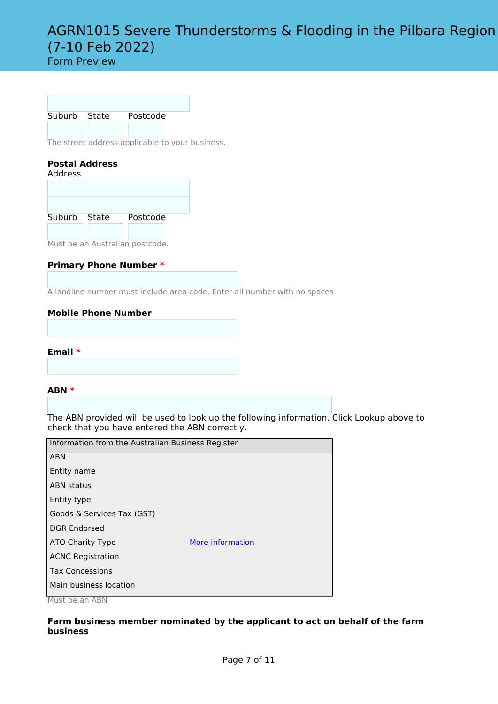# Form Preview

Suburb State Postcode

The street address applicable to your business.

# **Postal Address**

Address

| Suburb State | Postcode |  |
|--------------|----------|--|
|              |          |  |

Must be an Australian postcode.

# **Primary Phone Number \***

A landline number must include area code. Enter all number with no spaces

# **Mobile Phone Number**

**Email \***

## **ABN \***

The ABN provided will be used to look up the following information. Click Lookup above to check that you have entered the ABN correctly.

| Information from the Australian Business Register |                  |
|---------------------------------------------------|------------------|
| <b>ABN</b>                                        |                  |
| Entity name                                       |                  |
| <b>ABN status</b>                                 |                  |
| Entity type                                       |                  |
| Goods & Services Tax (GST)                        |                  |
| <b>DGR Endorsed</b>                               |                  |
| ATO Charity Type                                  | More information |
| <b>ACNC Registration</b>                          |                  |
| <b>Tax Concessions</b>                            |                  |
| Main business location                            |                  |
|                                                   |                  |

Must be an ABN

# **Farm business member nominated by the applicant to act on behalf of the farm business**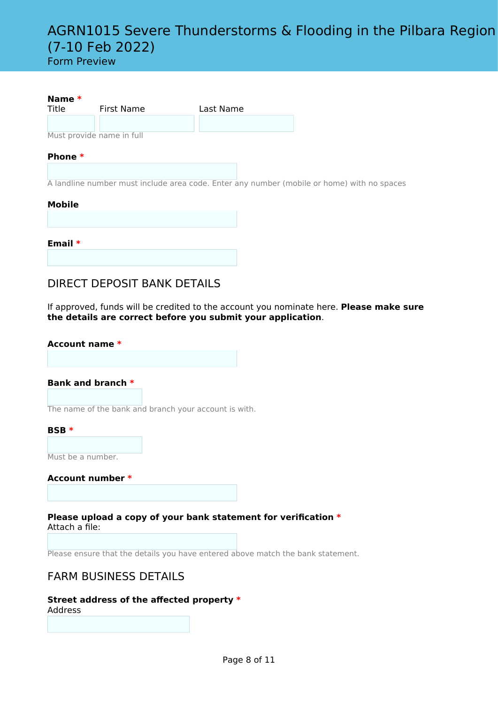Form Preview

| Name $*$<br>Title | First Name                | Last Name |
|-------------------|---------------------------|-----------|
|                   |                           |           |
|                   | Must provide name in full |           |
| Phone $*$         |                           |           |

A landline number must include area code. Enter any number (mobile or home) with no spaces

## **Mobile**

| Email $*$ |  |  |  |
|-----------|--|--|--|
|           |  |  |  |

# DIRECT DEPOSIT BANK DETAILS

If approved, funds will be credited to the account you nominate here. **Please make sure the details are correct before you submit your application**.

# **Account name \* Bank and branch \***

The name of the bank and branch your account is with.

## **BSB \***

Must be a number.

**Account number \***

**Please upload a copy of your bank statement for verification \*** Attach a file:

Please ensure that the details you have entered above match the bank statement.

# FARM BUSINESS DETAILS

#### **Street address of the affected property \*** Address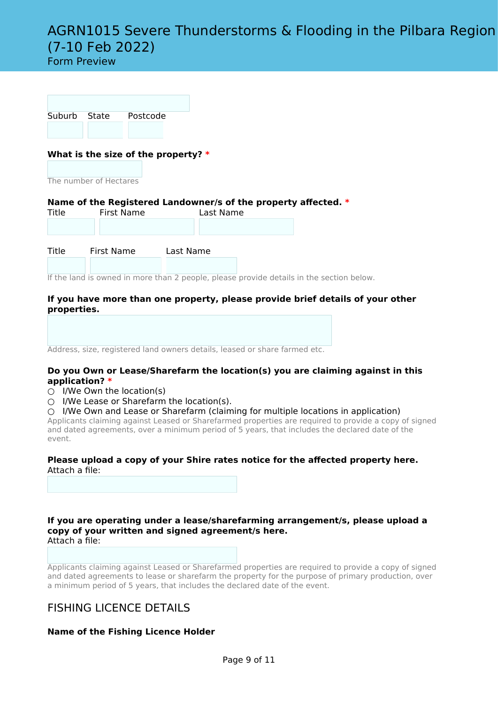Form Preview

| Suburb State | Postcode |  |
|--------------|----------|--|
|              |          |  |

# **What is the size of the property? \***

The number of Hectares

#### **Name of the Registered Landowner/s of the property affected. \***<br>Title **First Name** Last Name First Name

| .     | .          | <b>LUJL INGHILL</b> |  |
|-------|------------|---------------------|--|
|       |            |                     |  |
|       |            |                     |  |
|       |            |                     |  |
|       |            |                     |  |
|       |            |                     |  |
|       | First Name |                     |  |
| Title |            | Last Name           |  |

If the land is owned in more than 2 people, please provide details in the section below.

# **If you have more than one property, please provide brief details of your other properties.**

Address, size, registered land owners details, leased or share farmed etc.

#### **Do you Own or Lease/Sharefarm the location(s) you are claiming against in this application? \***

- $\bigcirc$  I/We Own the location(s)
- $\bigcirc$  I/We Lease or Sharefarm the location(s).

○ I/We Own and Lease or Sharefarm (claiming for multiple locations in application)

Applicants claiming against Leased or Sharefarmed properties are required to provide a copy of signed and dated agreements, over a minimum period of 5 years, that includes the declared date of the event.

## **Please upload a copy of your Shire rates notice for the affected property here.** Attach a file:

**If you are operating under a lease/sharefarming arrangement/s, please upload a copy of your written and signed agreement/s here.** Attach a file:

Applicants claiming against Leased or Sharefarmed properties are required to provide a copy of signed and dated agreements to lease or sharefarm the property for the purpose of primary production, over a minimum period of 5 years, that includes the declared date of the event.

# FISHING LICENCE DETAILS

# **Name of the Fishing Licence Holder**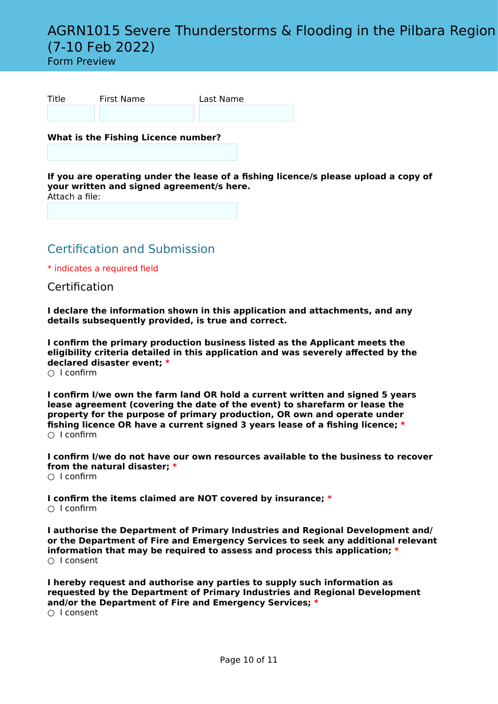# Form Preview

| Title | First Name | Last Name |
|-------|------------|-----------|
|       |            |           |

**What is the Fishing Licence number?**

**If you are operating under the lease of a fishing licence/s please upload a copy of your written and signed agreement/s here.** Attach a file:

Certification and Submission

\* indicates a required field

Certification

**I declare the information shown in this application and attachments, and any details subsequently provided, is true and correct.**

**I confirm the primary production business listed as the Applicant meets the eligibility criteria detailed in this application and was severely affected by the declared disaster event; \***

 $\cap$  I confirm

**I confirm I/we own the farm land OR hold a current written and signed 5 years lease agreement (covering the date of the event) to sharefarm or lease the property for the purpose of primary production, OR own and operate under fishing licence OR have a current signed 3 years lease of a fishing licence; \***  $\cap$  I confirm

**I confirm I/we do not have our own resources available to the business to recover from the natural disaster; \***  $\cap$  I confirm

**I confirm the items claimed are NOT covered by insurance; \***  $\cap$  I confirm

**I authorise the Department of Primary Industries and Regional Development and/ or the Department of Fire and Emergency Services to seek any additional relevant information that may be required to assess and process this application; \*** ○ I consent

**I hereby request and authorise any parties to supply such information as requested by the Department of Primary Industries and Regional Development and/or the Department of Fire and Emergency Services; \*** ○ I consent